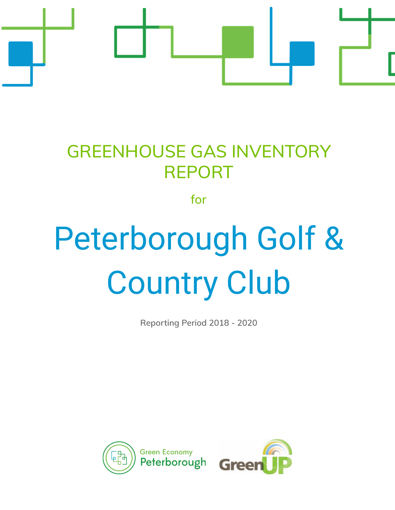

## GREENHOUSE GAS INVENTORY REPORT

for

# Peterborough Golf & Country Club

**Reporting Period 2018 - 2020**



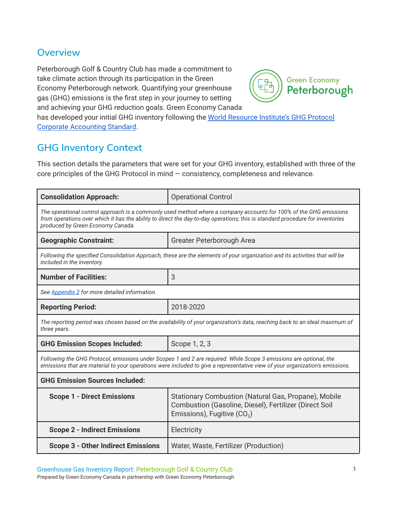## **Overview**

Peterborough Golf & Country Club has made a commitment to take climate action through its participation in the Green Economy Peterborough network. Quantifying your greenhouse gas (GHG) emissions is the first step in your journey to setting and achieving your GHG reduction goals. Green Economy Canada



has developed your initial GHG inventory following the World Resource [Institute's](https://ghgprotocol.org/corporate-standard) GHG Protocol Corporate [Accounting](https://ghgprotocol.org/corporate-standard) Standard.

## **GHG Inventory Context**

This section details the parameters that were set for your GHG inventory, established with three of the core principles of the GHG Protocol in mind — consistency, completeness and relevance.

| <b>Consolidation Approach:</b><br><b>Operational Control</b>                                                                                                                                                                                                                            |                                                                                                                             |  |  |  |  |
|-----------------------------------------------------------------------------------------------------------------------------------------------------------------------------------------------------------------------------------------------------------------------------------------|-----------------------------------------------------------------------------------------------------------------------------|--|--|--|--|
| The operational control approach is a commonly used method where a company accounts for 100% of the GHG emissions<br>from operations over which it has the ability to direct the day-to-day operations; this is standard procedure for inventories<br>produced by Green Economy Canada. |                                                                                                                             |  |  |  |  |
| <b>Geographic Constraint:</b><br>Greater Peterborough Area                                                                                                                                                                                                                              |                                                                                                                             |  |  |  |  |
| included in the inventory.                                                                                                                                                                                                                                                              | Following the specified Consolidation Approach, these are the elements of your organization and its activities that will be |  |  |  |  |
| <b>Number of Facilities:</b>                                                                                                                                                                                                                                                            | 3                                                                                                                           |  |  |  |  |
| See Appendix 2 for more detailed information.                                                                                                                                                                                                                                           |                                                                                                                             |  |  |  |  |
| 2018-2020<br><b>Reporting Period:</b>                                                                                                                                                                                                                                                   |                                                                                                                             |  |  |  |  |
| The reporting period was chosen based on the availability of your organization's data, reaching back to an ideal maximum of<br>three years.                                                                                                                                             |                                                                                                                             |  |  |  |  |
| <b>GHG Emission Scopes Included:</b>                                                                                                                                                                                                                                                    | Scope 1, 2, 3                                                                                                               |  |  |  |  |
| Following the GHG Protocol, emissions under Scopes 1 and 2 are required. While Scope 3 emissions are optional, the<br>emissions that are material to your operations were included to give a representative view of your organization's emissions.                                      |                                                                                                                             |  |  |  |  |
| <b>GHG Emission Sources Included:</b>                                                                                                                                                                                                                                                   |                                                                                                                             |  |  |  |  |
| Stationary Combustion (Natural Gas, Propane), Mobile<br><b>Scope 1 - Direct Emissions</b><br>Combustion (Gasoline, Diesel), Fertilizer (Direct Soil<br>Emissions), Fugitive $(CO2)$                                                                                                     |                                                                                                                             |  |  |  |  |
| <b>Scope 2 - Indirect Emissions</b>                                                                                                                                                                                                                                                     | Electricity                                                                                                                 |  |  |  |  |
| <b>Scope 3 - Other Indirect Emissions</b><br>Water, Waste, Fertilizer (Production)                                                                                                                                                                                                      |                                                                                                                             |  |  |  |  |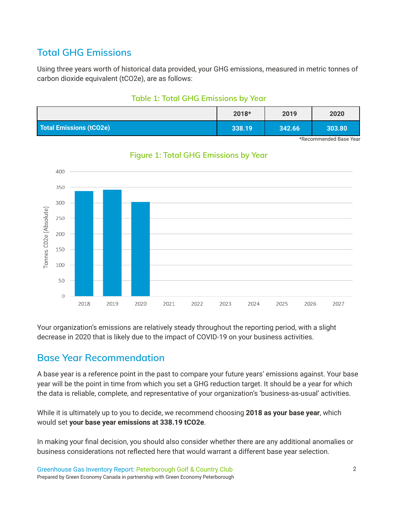## **Total GHG Emissions**

Using three years worth of historical data provided, your GHG emissions, measured in metric tonnes of carbon dioxide equivalent (tCO2e), are as follows:

#### **Table 1: Total GHG Emissions by Year**

|                         | $2018*$ | 2019   | 2020   |
|-------------------------|---------|--------|--------|
| Total Emissions (tCO2e) | 338.19  | 342.66 | 303.80 |

\*Recommended Base Year



## **Figure 1: Total GHG Emissions by Year**

Your organization's emissions are relatively steady throughout the reporting period, with a slight decrease in 2020 that is likely due to the impact of COVID-19 on your business activities.

## **Base Year Recommendation**

A base year is a reference point in the past to compare your future years' emissions against. Your base year will be the point in time from which you set a GHG reduction target. It should be a year for which the data is reliable, complete, and representative of your organization's 'business-as-usual' activities.

While it is ultimately up to you to decide, we recommend choosing **2018 as your base year**, which would set **your base year emissions at 338.19 tCO2e**.

In making your final decision, you should also consider whether there are any additional anomalies or business considerations not reflected here that would warrant a different base year selection.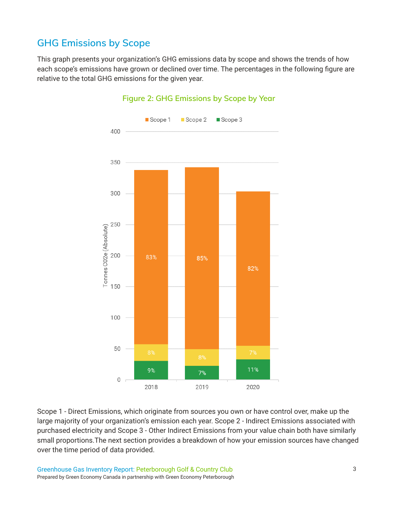## **GHG Emissions by Scope**

This graph presents your organization's GHG emissions data by scope and shows the trends of how each scope's emissions have grown or declined over time. The percentages in the following figure are relative to the total GHG emissions for the given year.



#### **Figure 2: GHG Emissions by Scope by Year**

Scope 1 - Direct Emissions, which originate from sources you own or have control over, make up the large majority of your organization's emission each year. Scope 2 - Indirect Emissions associated with purchased electricity and Scope 3 - Other Indirect Emissions from your value chain both have similarly small proportions.The next section provides a breakdown of how your emission sources have changed over the time period of data provided.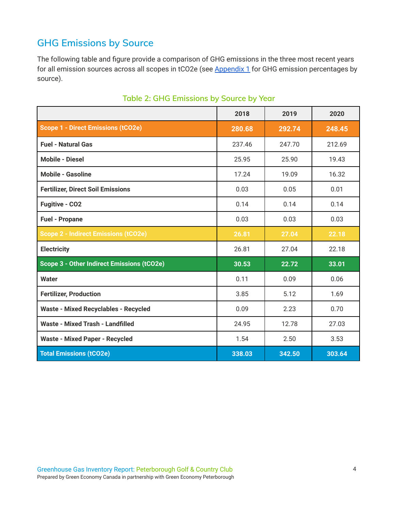## **GHG Emissions by Source**

The following table and figure provide a comparison of GHG emissions in the three most recent years for all emission sources across all scopes in tCO2e (see [Appendix](#page-12-1) 1 for GHG emission percentages by source).

|                                             | 2018   | 2019   | 2020   |
|---------------------------------------------|--------|--------|--------|
| <b>Scope 1 - Direct Emissions (tCO2e)</b>   | 280.68 | 292.74 | 248.45 |
| <b>Fuel - Natural Gas</b>                   | 237.46 | 247.70 | 212.69 |
| <b>Mobile - Diesel</b>                      | 25.95  | 25.90  | 19.43  |
| <b>Mobile - Gasoline</b>                    | 17.24  | 19.09  | 16.32  |
| <b>Fertilizer, Direct Soil Emissions</b>    | 0.03   | 0.05   | 0.01   |
| <b>Fugitive - CO2</b>                       | 0.14   | 0.14   | 0.14   |
| <b>Fuel - Propane</b>                       | 0.03   | 0.03   | 0.03   |
| <b>Scope 2 - Indirect Emissions (tCO2e)</b> | 26.81  | 27.04  | 22.18  |
| <b>Electricity</b>                          | 26.81  | 27.04  | 22.18  |
| Scope 3 - Other Indirect Emissions (tCO2e)  | 30.53  | 22.72  | 33.01  |
| <b>Water</b>                                | 0.11   | 0.09   | 0.06   |
| <b>Fertilizer, Production</b>               | 3.85   | 5.12   | 1.69   |
| <b>Waste - Mixed Recyclables - Recycled</b> | 0.09   | 2.23   | 0.70   |
| <b>Waste - Mixed Trash - Landfilled</b>     | 24.95  | 12.78  | 27.03  |
| <b>Waste - Mixed Paper - Recycled</b>       | 1.54   | 2.50   | 3.53   |
| <b>Total Emissions (tCO2e)</b>              | 338.03 | 342.50 | 303.64 |

#### **Table 2: GHG Emissions by Source by Year**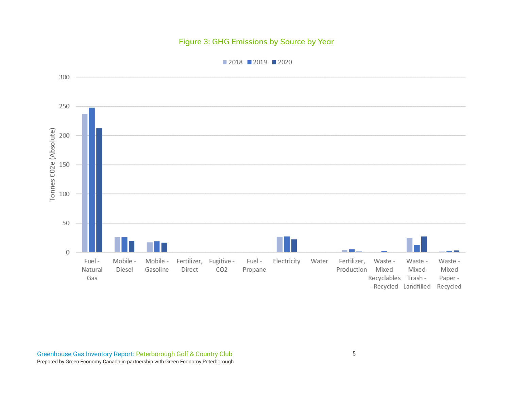#### **Figure 3: GHG Emissions by Source by Year**



#### $2018$  2019 2020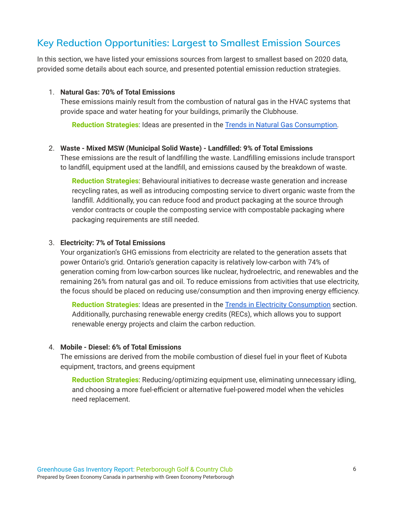## **Key Reduction Opportunities: Largest to Smallest Emission Sources**

In this section, we have listed your emissions sources from largest to smallest based on 2020 data, provided some details about each source, and presented potential emission reduction strategies.

#### 1. **Natural Gas: 70% of Total Emissions**

These emissions mainly result from the combustion of natural gas in the HVAC systems that provide space and water heating for your buildings, primarily the Clubhouse.

**Reduction Strategies**: Ideas are presented in the Trends in Natural Gas [Consumption.](#page-10-0)

#### 2. **Waste - Mixed MSW (Municipal Solid Waste) - Landfilled: 9% of Total Emissions**

These emissions are the result of landfilling the waste. Landfilling emissions include transport to landfill, equipment used at the landfill, and emissions caused by the breakdown of waste.

**Reduction Strategies**: Behavioural initiatives to decrease waste generation and increase recycling rates, as well as introducing composting service to divert organic waste from the landfill. Additionally, you can reduce food and product packaging at the source through vendor contracts or couple the composting service with compostable packaging where packaging requirements are still needed.

#### 3. **Electricity: 7% of Total Emissions**

Your organization's GHG emissions from electricity are related to the generation assets that power Ontario's grid. Ontario's generation capacity is relatively low-carbon with 74% of generation coming from low-carbon sources like nuclear, hydroelectric, and renewables and the remaining 26% from natural gas and oil. To reduce emissions from activities that use electricity, the focus should be placed on reducing use/consumption and then improving energy efficiency.

**Reduction Strategies**: Ideas are presented in the Trends in Electricity Consumption section. Additionally, purchasing renewable energy credits (RECs), which allows you to support renewable energy projects and claim the carbon reduction.

#### 4. **Mobile - Diesel: 6% of Total Emissions**

The emissions are derived from the mobile combustion of diesel fuel in your fleet of Kubota equipment, tractors, and greens equipment

**Reduction Strategies**: Reducing/optimizing equipment use, eliminating unnecessary idling, and choosing a more fuel-efficient or alternative fuel-powered model when the vehicles need replacement.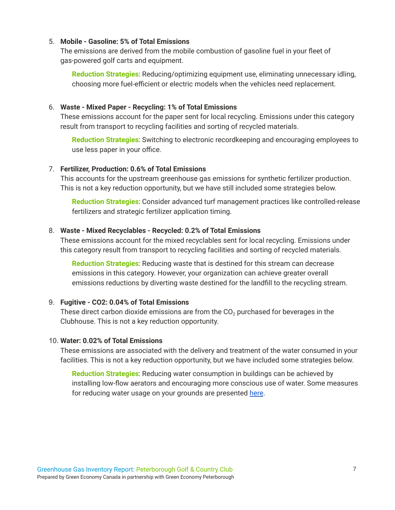#### 5. **Mobile - Gasoline: 5% of Total Emissions**

The emissions are derived from the mobile combustion of gasoline fuel in your fleet of gas-powered golf carts and equipment.

**Reduction Strategies**: Reducing/optimizing equipment use, eliminating unnecessary idling, choosing more fuel-efficient or electric models when the vehicles need replacement.

#### 6. **Waste - Mixed Paper - Recycling: 1% of Total Emissions**

These emissions account for the paper sent for local recycling. Emissions under this category result from transport to recycling facilities and sorting of recycled materials.

**Reduction Strategies**: Switching to electronic recordkeeping and encouraging employees to use less paper in your office.

#### 7. **Fertilizer, Production: 0.6% of Total Emissions**

This accounts for the upstream greenhouse gas emissions for synthetic fertilizer production. This is not a key reduction opportunity, but we have still included some strategies below.

**Reduction Strategies**: Consider advanced turf management practices like controlled-release fertilizers and strategic fertilizer application timing.

#### 8. **Waste - Mixed Recyclables - Recycled: 0.2% of Total Emissions**

These emissions account for the mixed recyclables sent for local recycling. Emissions under this category result from transport to recycling facilities and sorting of recycled materials.

**Reduction Strategies**: Reducing waste that is destined for this stream can decrease emissions in this category. However, your organization can achieve greater overall emissions reductions by diverting waste destined for the landfill to the recycling stream.

#### 9. **Fugitive - CO2: 0.04% of Total Emissions**

These direct carbon dioxide emissions are from the  $CO<sub>2</sub>$  purchased for beverages in the Clubhouse. This is not a key reduction opportunity.

#### 10. **Water: 0.02% of Total Emissions**

These emissions are associated with the delivery and treatment of the water consumed in your facilities. This is not a key reduction opportunity, but we have included some strategies below.

**Reduction Strategies**: Reducing water consumption in buildings can be achieved by installing low-flow aerators and encouraging more conscious use of water. Some measures for reducing water usage on your grounds are presented [here](https://www.usga.org/course-care/water-resource-center/how-can-courses-minimize-water.html).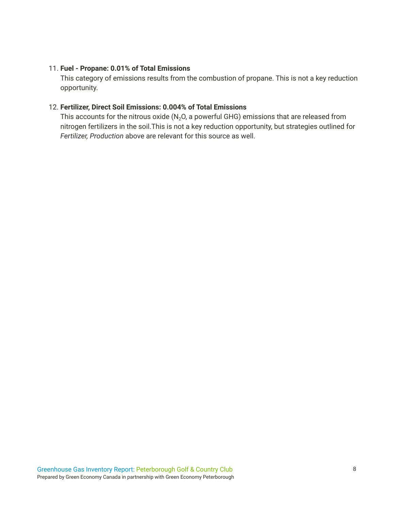#### 11. **Fuel - Propane: 0.01% of Total Emissions**

This category of emissions results from the combustion of propane. This is not a key reduction opportunity.

#### 12. **Fertilizer, Direct Soil Emissions: 0.004% of Total Emissions**

This accounts for the nitrous oxide ( $N_2O$ , a powerful GHG) emissions that are released from nitrogen fertilizers in the soil.This is not a key reduction opportunity, but strategies outlined for *Fertilizer, Production* above are relevant for this source as well.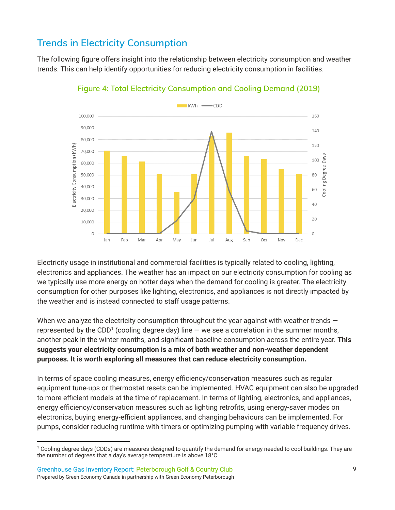## **Trends in Electricity Consumption**

The following figure offers insight into the relationship between electricity consumption and weather trends. This can help identify opportunities for reducing electricity consumption in facilities.



**Figure 4: Total Electricity Consumption and Cooling Demand (2019)**

Electricity usage in institutional and commercial facilities is typically related to cooling, lighting, electronics and appliances. The weather has an impact on our electricity consumption for cooling as we typically use more energy on hotter days when the demand for cooling is greater. The electricity consumption for other purposes like lighting, electronics, and appliances is not directly impacted by the weather and is instead connected to staff usage patterns.

When we analyze the electricity consumption throughout the year against with weather trends  $$ represented by the CDD<sup>1</sup> (cooling degree day) line  $-$  we see a correlation in the summer months, another peak in the winter months, and significant baseline consumption across the entire year. **This suggests your electricity consumption is a mix of both weather and non-weather dependent purposes. It is worth exploring all measures that can reduce electricity consumption.**

In terms of space cooling measures, energy efficiency/conservation measures such as regular equipment tune-ups or thermostat resets can be implemented. HVAC equipment can also be upgraded to more efficient models at the time of replacement. In terms of lighting, electronics, and appliances, energy efficiency/conservation measures such as lighting retrofits, using energy-saver modes on electronics, buying energy-efficient appliances, and changing behaviours can be implemented. For pumps, consider reducing runtime with timers or optimizing pumping with variable frequency drives.

<sup>1</sup> Cooling degree days (CDDs) are measures designed to quantify the demand for energy needed to cool buildings. They are the number of degrees that a day's average temperature is above 18°C.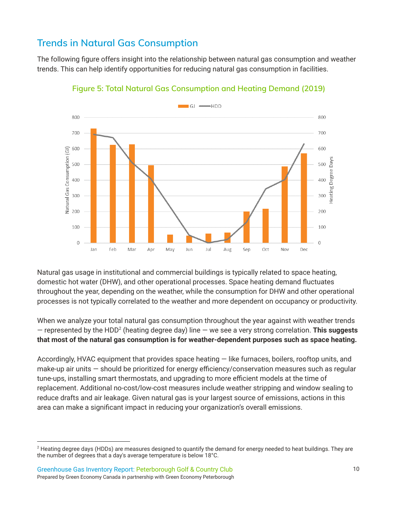## <span id="page-10-0"></span>**Trends in Natural Gas Consumption**

The following figure offers insight into the relationship between natural gas consumption and weather trends. This can help identify opportunities for reducing natural gas consumption in facilities.



**Figure 5: Total Natural Gas Consumption and Heating Demand (2019)**

Natural gas usage in institutional and commercial buildings is typically related to space heating, domestic hot water (DHW), and other operational processes. Space heating demand fluctuates throughout the year, depending on the weather, while the consumption for DHW and other operational processes is not typically correlated to the weather and more dependent on occupancy or productivity.

When we analyze your total natural gas consumption throughout the year against with weather trends  $-$  represented by the HDD<sup>2</sup> (heating degree day) line  $-$  we see a very strong correlation. **This suggests that most of the natural gas consumption is for weather-dependent purposes such as space heating.**

Accordingly, HVAC equipment that provides space heating — like furnaces, boilers, rooftop units, and make-up air units — should be prioritized for energy efficiency/conservation measures such as regular tune-ups, installing smart thermostats, and upgrading to more efficient models at the time of replacement. Additional no-cost/low-cost measures include weather stripping and window sealing to reduce drafts and air leakage. Given natural gas is your largest source of emissions, actions in this area can make a significant impact in reducing your organization's overall emissions.

<sup>&</sup>lt;sup>2</sup> Heating degree days (HDDs) are measures designed to quantify the demand for energy needed to heat buildings. They are the number of degrees that a day's average temperature is below 18°C.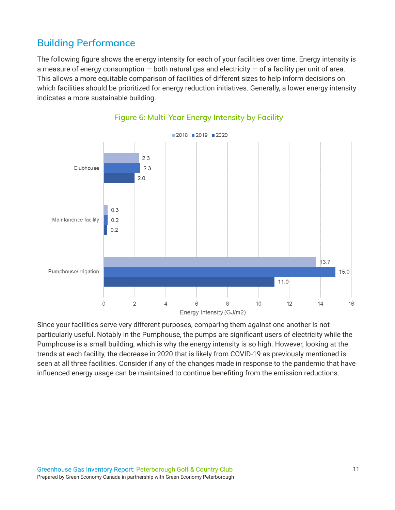## **Building Performance**

The following figure shows the energy intensity for each of your facilities over time. Energy intensity is a measure of energy consumption  $-$  both natural gas and electricity  $-$  of a facility per unit of area. This allows a more equitable comparison of facilities of different sizes to help inform decisions on which facilities should be prioritized for energy reduction initiatives. Generally, a lower energy intensity indicates a more sustainable building.



**Figure 6: Multi-Year Energy Intensity by Facility**

Since your facilities serve very different purposes, comparing them against one another is not particularly useful. Notably in the Pumphouse, the pumps are significant users of electricity while the Pumphouse is a small building, which is why the energy intensity is so high. However, looking at the trends at each facility, the decrease in 2020 that is likely from COVID-19 as previously mentioned is seen at all three facilities. Consider if any of the changes made in response to the pandemic that have influenced energy usage can be maintained to continue benefiting from the emission reductions.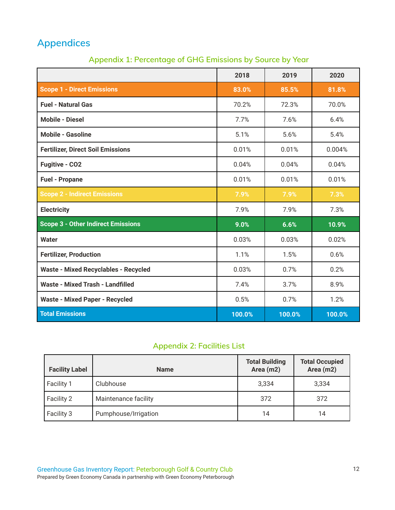## **Appendices**

|  | Appendix 1: Percentage of GHG Emissions by Source by Year |  |  |  |  |
|--|-----------------------------------------------------------|--|--|--|--|
|  |                                                           |  |  |  |  |

<span id="page-12-1"></span>

|                                             | 2018   | 2019   | 2020   |
|---------------------------------------------|--------|--------|--------|
| <b>Scope 1 - Direct Emissions</b>           | 83.0%  | 85.5%  | 81.8%  |
| <b>Fuel - Natural Gas</b>                   | 70.2%  | 72.3%  | 70.0%  |
| <b>Mobile - Diesel</b>                      | 7.7%   | 7.6%   | 6.4%   |
| <b>Mobile - Gasoline</b>                    | 5.1%   | 5.6%   | 5.4%   |
| <b>Fertilizer, Direct Soil Emissions</b>    | 0.01%  | 0.01%  | 0.004% |
| <b>Fugitive - CO2</b>                       | 0.04%  | 0.04%  | 0.04%  |
| <b>Fuel - Propane</b>                       | 0.01%  | 0.01%  | 0.01%  |
| <b>Scope 2 - Indirect Emissions</b>         | 7.9%   | 7.9%   | 7.3%   |
| <b>Electricity</b>                          | 7.9%   | 7.9%   | 7.3%   |
| <b>Scope 3 - Other Indirect Emissions</b>   | 9.0%   | 6.6%   | 10.9%  |
| <b>Water</b>                                | 0.03%  | 0.03%  | 0.02%  |
| <b>Fertilizer, Production</b>               | 1.1%   | 1.5%   | 0.6%   |
| <b>Waste - Mixed Recyclables - Recycled</b> | 0.03%  | 0.7%   | 0.2%   |
| <b>Waste - Mixed Trash - Landfilled</b>     | 7.4%   | 3.7%   | 8.9%   |
| <b>Waste - Mixed Paper - Recycled</b>       | 0.5%   | 0.7%   | 1.2%   |
| <b>Total Emissions</b>                      | 100.0% | 100.0% | 100.0% |

### **Appendix 2: Facilities List**

<span id="page-12-0"></span>

| <b>Facility Label</b> | <b>Name</b>          | <b>Total Building</b><br>Area (m2) | <b>Total Occupied</b><br>Area (m2) |
|-----------------------|----------------------|------------------------------------|------------------------------------|
| Facility 1            | Clubhouse            | 3,334                              | 3,334                              |
| Facility 2            | Maintenance facility | 372                                | 372                                |
| Facility 3            | Pumphouse/Irrigation | 14                                 | 14                                 |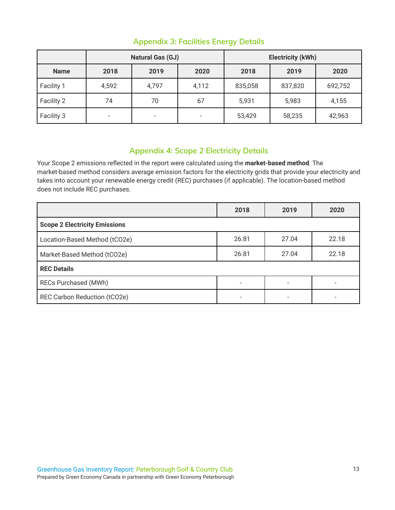|             | <b>Natural Gas (GJ)</b>  |                          |       | <b>Electricity (kWh)</b> |         |         |
|-------------|--------------------------|--------------------------|-------|--------------------------|---------|---------|
| <b>Name</b> | 2018                     | 2019                     | 2020  | 2018                     | 2019    | 2020    |
| Facility 1  | 4,592                    | 4,797                    | 4,112 | 835,058                  | 837,820 | 692,752 |
| Facility 2  | 74                       | 70                       | 67    | 5,931                    | 5,983   | 4,155   |
| Facility 3  | $\overline{\phantom{a}}$ | $\overline{\phantom{a}}$ |       | 53,429                   | 58,235  | 42,963  |

#### **Appendix 3: Facilities Energy Details**

#### **Appendix 4: Scope 2 Electricity Details**

Your Scope 2 emissions reflected in the report were calculated using the **market-based method**. The market-based method considers average emission factors for the electricity grids that provide your electricity and takes into account your renewable energy credit (REC) purchases (if applicable). The location-based method does not include REC purchases.

|                                      | 2018  | 2019  | 2020  |
|--------------------------------------|-------|-------|-------|
| <b>Scope 2 Electricity Emissions</b> |       |       |       |
| Location-Based Method (tCO2e)        | 26.81 | 27.04 | 22.18 |
| Market-Based Method (tCO2e)          | 26.81 | 27.04 | 22.18 |
| <b>REC Details</b>                   |       |       |       |
| <b>RECs Purchased (MWh)</b>          |       |       |       |
| REC Carbon Reduction (tCO2e)         |       |       |       |